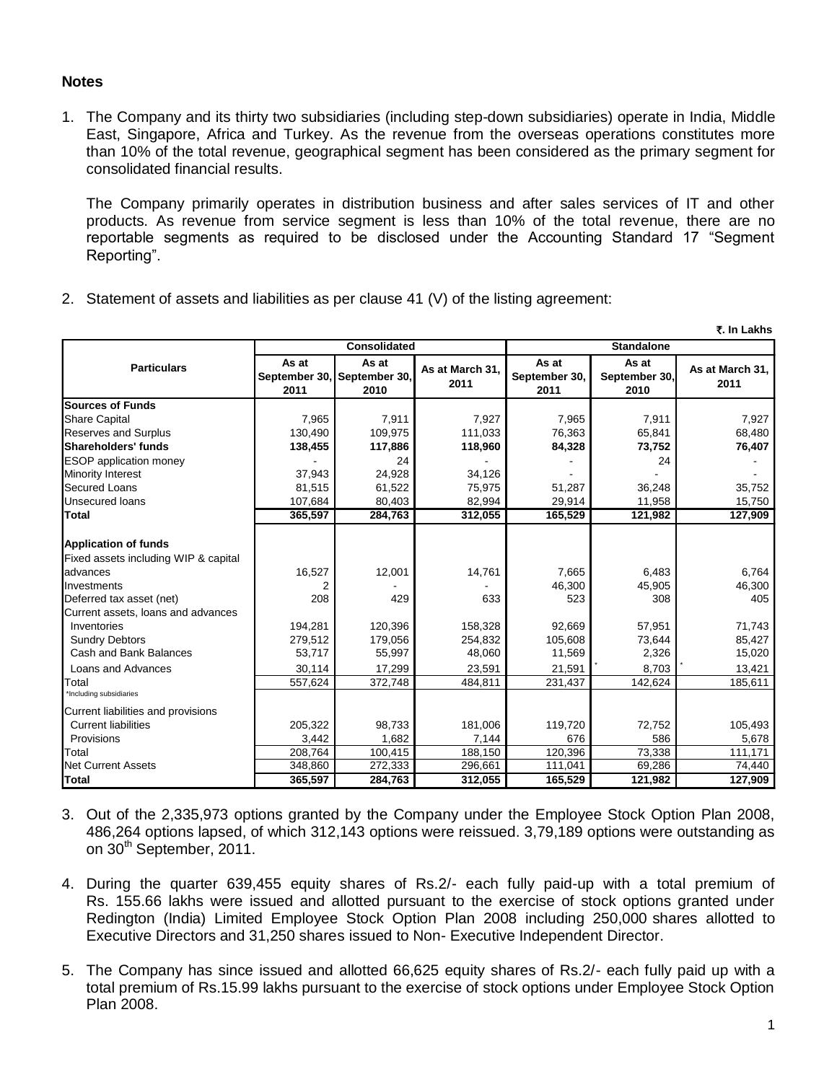## **Notes**

1. The Company and its thirty two subsidiaries (including step-down subsidiaries) operate in India, Middle East, Singapore, Africa and Turkey. As the revenue from the overseas operations constitutes more than 10% of the total revenue, geographical segment has been considered as the primary segment for consolidated financial results.

The Company primarily operates in distribution business and after sales services of IT and other products. As revenue from service segment is less than 10% of the total revenue, there are no reportable segments as required to be disclosed under the Accounting Standard 17 "Segment Reporting".

- `**. In Lakhs As at September 30, 2011 As at September 30, 2010 As at March 31, 2011 As at September 30, 2011 As at September 30, 2010 As at March 31, 2011 Sources of Funds** Share Capital 7,965 7,911 7,927 7,965 7,911 7,927 Reserves and Surplus 130,490 109,975 111,033 76,363 65,841 68,480 **Shareholders' funds 138,455 117,886 118,960 84,328 73,752 76,407** ESOP application money - 24 - - 24 - Minority Interest 27,943 24,928 34,126 Secured Loans 81,515 61,522 75,975 51,287 36,248 35,752 Unsecured loans 107,684 | 80,403 | 82,994 | 29,914 | 11,958 | 15,750 **Total 365,597 284,763 312,055 165,529 121,982 127,909 Application of funds** Fixed assets including WIP & capital advances 16,527 12,001 14,761 7,665 6,483 6,764 Investments 2 - 2 - 1 - 46,300 45,905 46,300 Deferred tax asset (net) 208 429 633 523 308 405 Current assets, loans and advances Inventories 194,281 120,396 158,328 92,669 57,951 71,743 Sundry Debtors **279,512** 179,056 254,832 105,608 73,644 85,427 179,056 254,832 105,608 2.326 2.326 15,020 Cash and Bank Balances Loans and Advances **30,114** 17,299 23,591 21,591 8,703 13,421 Total 557,624 372,748 484,811 231,437 142,624 185,611 \*Including subsidiaries Current liabilities and provisions Current liabilities 105.493 1205,322 98,733 181,006 119,720 72,752 105.493 Provisions 3,442 1,682 7,144 676 586 5,678 Total 208,764 100,415 188,150 120,396 73,338 111,171 Net Current Assets **348,860** 272,333 296,661 111,041 69,286 74,440 **Total 365,597 284,763 312,055 165,529 121,982 127,909 Particulars Consolidated Standalone**
- 2. Statement of assets and liabilities as per clause 41 (V) of the listing agreement:

- 3. Out of the 2,335,973 options granted by the Company under the Employee Stock Option Plan 2008, 486,264 options lapsed, of which 312,143 options were reissued. 3,79,189 options were outstanding as on 30<sup>th</sup> September, 2011.
- 4. During the quarter 639,455 equity shares of Rs.2/- each fully paid-up with a total premium of Rs. 155.66 lakhs were issued and allotted pursuant to the exercise of stock options granted under Redington (India) Limited Employee Stock Option Plan 2008 including 250,000 shares allotted to Executive Directors and 31,250 shares issued to Non- Executive Independent Director.
- 5. The Company has since issued and allotted 66,625 equity shares of Rs.2/- each fully paid up with a total premium of Rs.15.99 lakhs pursuant to the exercise of stock options under Employee Stock Option Plan 2008.